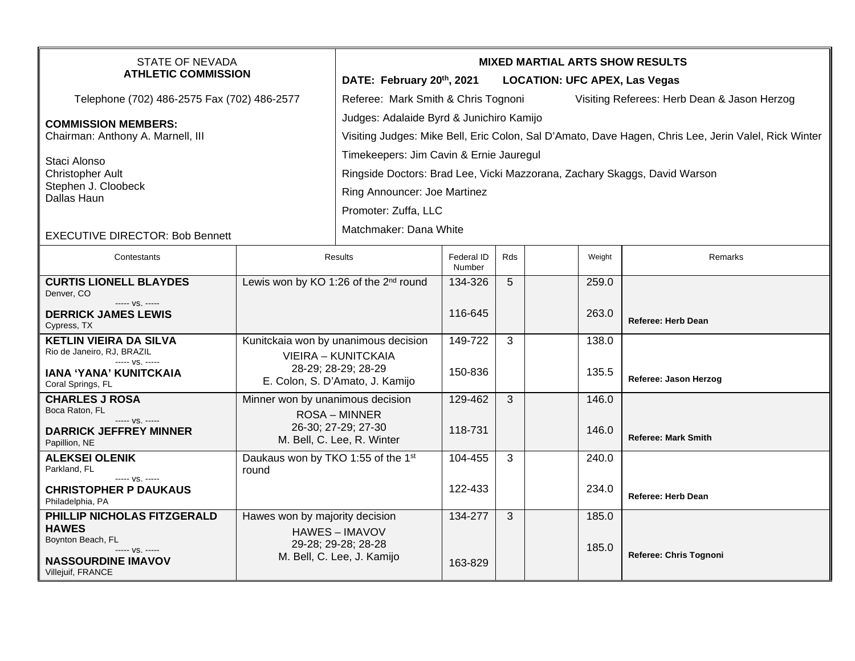| <b>STATE OF NEVADA</b><br><b>ATHLETIC COMMISSION</b>                                                                                             |                                                                                                                       | <b>MIXED MARTIAL ARTS SHOW RESULTS</b>                                                                                                                                                                                                                                                                                           |                                             |            |                |                            |  |  |
|--------------------------------------------------------------------------------------------------------------------------------------------------|-----------------------------------------------------------------------------------------------------------------------|----------------------------------------------------------------------------------------------------------------------------------------------------------------------------------------------------------------------------------------------------------------------------------------------------------------------------------|---------------------------------------------|------------|----------------|----------------------------|--|--|
|                                                                                                                                                  |                                                                                                                       | DATE: February 20th, 2021<br><b>LOCATION: UFC APEX, Las Vegas</b>                                                                                                                                                                                                                                                                |                                             |            |                |                            |  |  |
| Telephone (702) 486-2575 Fax (702) 486-2577                                                                                                      |                                                                                                                       | Referee: Mark Smith & Chris Tognoni                                                                                                                                                                                                                                                                                              | Visiting Referees: Herb Dean & Jason Herzog |            |                |                            |  |  |
| <b>COMMISSION MEMBERS:</b><br>Chairman: Anthony A. Marnell, III<br>Staci Alonso<br><b>Christopher Ault</b><br>Stephen J. Cloobeck<br>Dallas Haun |                                                                                                                       | Judges: Adalaide Byrd & Junichiro Kamijo<br>Visiting Judges: Mike Bell, Eric Colon, Sal D'Amato, Dave Hagen, Chris Lee, Jerin Valel, Rick Winter<br>Timekeepers: Jim Cavin & Ernie Jauregul<br>Ringside Doctors: Brad Lee, Vicki Mazzorana, Zachary Skaggs, David Warson<br>Ring Announcer: Joe Martinez<br>Promoter: Zuffa, LLC |                                             |            |                |                            |  |  |
| <b>EXECUTIVE DIRECTOR: Bob Bennett</b>                                                                                                           |                                                                                                                       | Matchmaker: Dana White                                                                                                                                                                                                                                                                                                           |                                             |            |                |                            |  |  |
| Contestants                                                                                                                                      | <b>Results</b>                                                                                                        |                                                                                                                                                                                                                                                                                                                                  | Federal ID<br>Number                        | <b>Rds</b> | Weight         | Remarks                    |  |  |
| <b>CURTIS LIONELL BLAYDES</b><br>Denver, CO<br>----- VS. -----<br><b>DERRICK JAMES LEWIS</b><br>Cypress, TX                                      | Lewis won by KO 1:26 of the 2 <sup>nd</sup> round                                                                     |                                                                                                                                                                                                                                                                                                                                  | 134-326<br>116-645                          | 5          | 259.0<br>263.0 | <b>Referee: Herb Dean</b>  |  |  |
| <b>KETLIN VIEIRA DA SILVA</b><br>Rio de Janeiro, RJ, BRAZIL<br>$--- VS. ---$<br><b>IANA 'YANA' KUNITCKAIA</b><br>Coral Springs, FL               | Kunitckaia won by unanimous decision<br>VIEIRA - KUNITCKAIA<br>28-29; 28-29; 28-29<br>E. Colon, S. D'Amato, J. Kamijo |                                                                                                                                                                                                                                                                                                                                  | 149-722<br>150-836                          | 3          | 138.0<br>135.5 | Referee: Jason Herzog      |  |  |
| <b>CHARLES J ROSA</b><br>Boca Raton, FL<br>$--- VS. ---$<br><b>DARRICK JEFFREY MINNER</b><br>Papillion, NE                                       | Minner won by unanimous decision<br><b>ROSA-MINNER</b><br>26-30; 27-29; 27-30<br>M. Bell, C. Lee, R. Winter           |                                                                                                                                                                                                                                                                                                                                  | 129-462<br>118-731                          | 3          | 146.0<br>146.0 | <b>Referee: Mark Smith</b> |  |  |
| <b>ALEKSEI OLENIK</b><br>Parkland, FL<br>----- VS. -----<br><b>CHRISTOPHER P DAUKAUS</b><br>Philadelphia, PA                                     | Daukaus won by TKO 1:55 of the 1st<br>round                                                                           |                                                                                                                                                                                                                                                                                                                                  | 104-455<br>122-433                          | 3          | 240.0<br>234.0 | <b>Referee: Herb Dean</b>  |  |  |
| PHILLIP NICHOLAS FITZGERALD<br><b>HAWES</b><br>Boynton Beach, FL<br>----- VS. -----<br><b>NASSOURDINE IMAVOV</b><br>Villejuif, FRANCE            | Hawes won by majority decision<br><b>HAWES - IMAVOV</b><br>29-28; 29-28; 28-28<br>M. Bell, C. Lee, J. Kamijo          |                                                                                                                                                                                                                                                                                                                                  | 134-277<br>163-829                          | 3          | 185.0<br>185.0 | Referee: Chris Tognoni     |  |  |